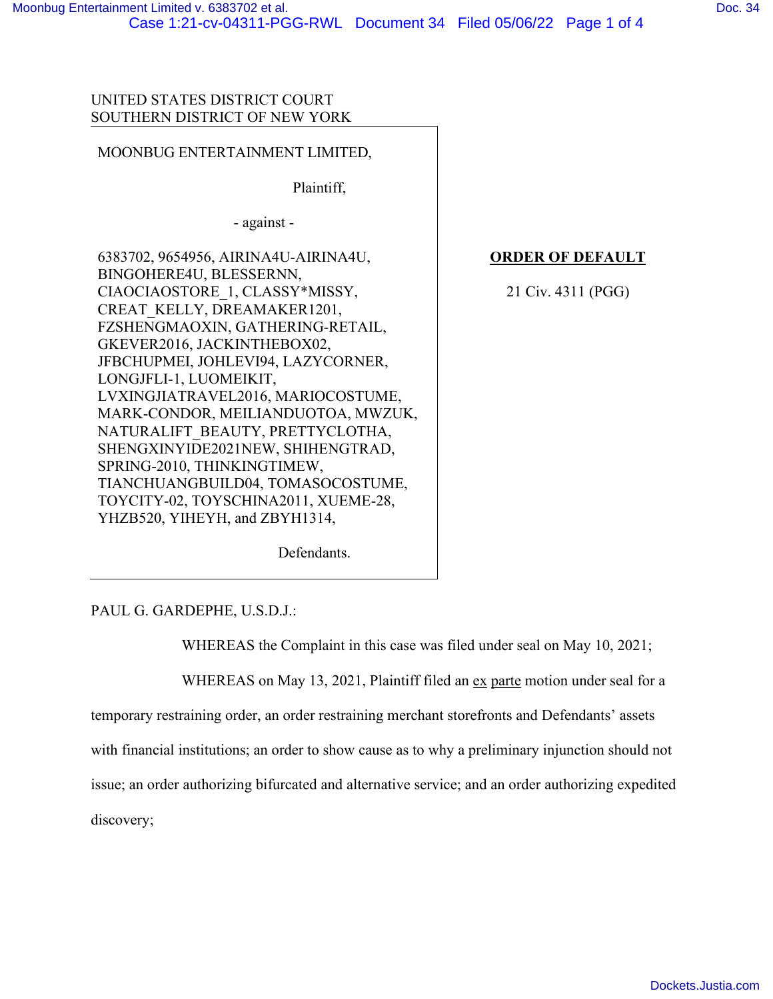## UNITED STATES DISTRICT COURT SOUTHERN DISTRICT OF NEW YORK

## MOONBUG ENTERTAINMENT LIMITED,

Plaintiff,

- against -

6383702, 9654956, AIRINA4U-AIRINA4U, BINGOHERE4U, BLESSERNN, CIAOCIAOSTORE\_1, CLASSY\*MISSY, CREAT\_KELLY, DREAMAKER1201, FZSHENGMAOXIN, GATHERING-RETAIL, GKEVER2016, JACKINTHEBOX02, JFBCHUPMEI, JOHLEVI94, LAZYCORNER, LONGJFLI-1, LUOMEIKIT, LVXINGJIATRAVEL2016, MARIOCOSTUME, MARK-CONDOR, MEILIANDUOTOA, MWZUK, NATURALIFT\_BEAUTY, PRETTYCLOTHA, SHENGXINYIDE2021NEW, SHIHENGTRAD, SPRING-2010, THINKINGTIMEW, TIANCHUANGBUILD04, TOMASOCOSTUME, TOYCITY-02, TOYSCHINA2011, XUEME-28, YHZB520, YIHEYH, and ZBYH1314,

**ORDER OF DEFAULT**

21 Civ. 4311 (PGG)

Defendants.

PAUL G. GARDEPHE, U.S.D.J.:

WHEREAS the Complaint in this case was filed under seal on May 10, 2021;

WHEREAS on May 13, 2021, Plaintiff filed an ex parte motion under seal for a

temporary restraining order, an order restraining merchant storefronts and Defendants' assets

with financial institutions; an order to show cause as to why a preliminary injunction should not

issue; an order authorizing bifurcated and alternative service; and an order authorizing expedited

discovery;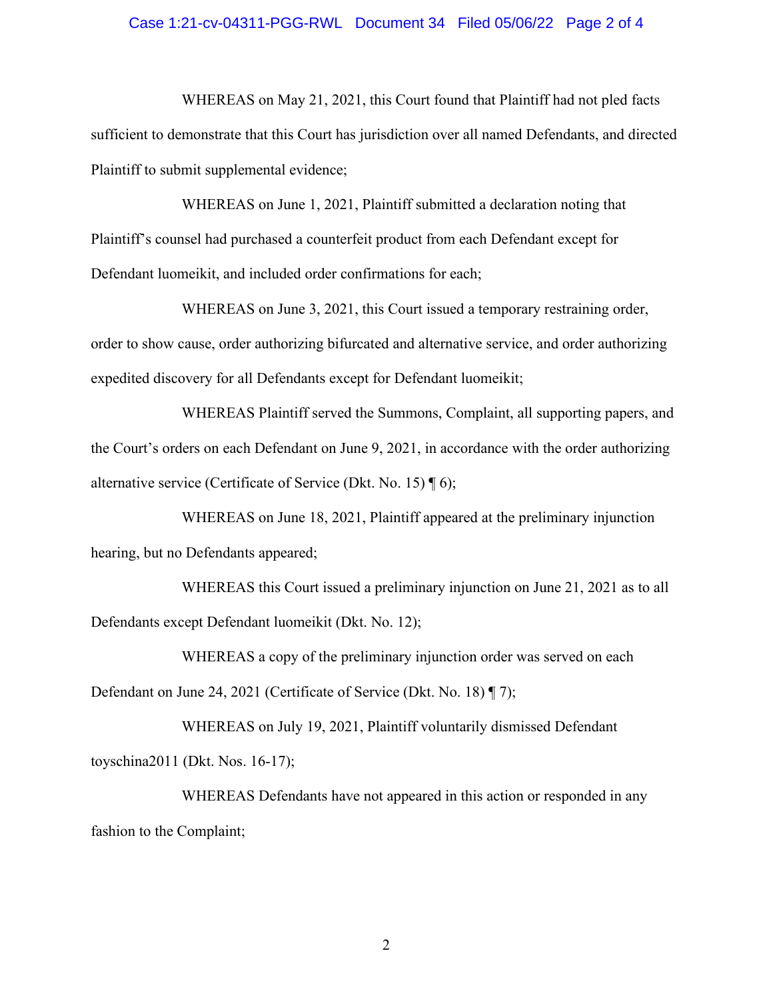### Case 1:21-cv-04311-PGG-RWL Document 34 Filed 05/06/22 Page 2 of 4

WHEREAS on May 21, 2021, this Court found that Plaintiff had not pled facts sufficient to demonstrate that this Court has jurisdiction over all named Defendants, and directed Plaintiff to submit supplemental evidence;

WHEREAS on June 1, 2021, Plaintiff submitted a declaration noting that Plaintiff's counsel had purchased a counterfeit product from each Defendant except for Defendant luomeikit, and included order confirmations for each;

WHEREAS on June 3, 2021, this Court issued a temporary restraining order, order to show cause, order authorizing bifurcated and alternative service, and order authorizing expedited discovery for all Defendants except for Defendant luomeikit;

WHEREAS Plaintiff served the Summons, Complaint, all supporting papers, and the Court's orders on each Defendant on June 9, 2021, in accordance with the order authorizing alternative service (Certificate of Service (Dkt. No. 15) ¶ 6);

WHEREAS on June 18, 2021, Plaintiff appeared at the preliminary injunction hearing, but no Defendants appeared;

WHEREAS this Court issued a preliminary injunction on June 21, 2021 as to all Defendants except Defendant luomeikit (Dkt. No. 12);

WHEREAS a copy of the preliminary injunction order was served on each Defendant on June 24, 2021 (Certificate of Service (Dkt. No. 18) ¶ 7);

WHEREAS on July 19, 2021, Plaintiff voluntarily dismissed Defendant toyschina2011 (Dkt. Nos. 16-17);

WHEREAS Defendants have not appeared in this action or responded in any fashion to the Complaint;

2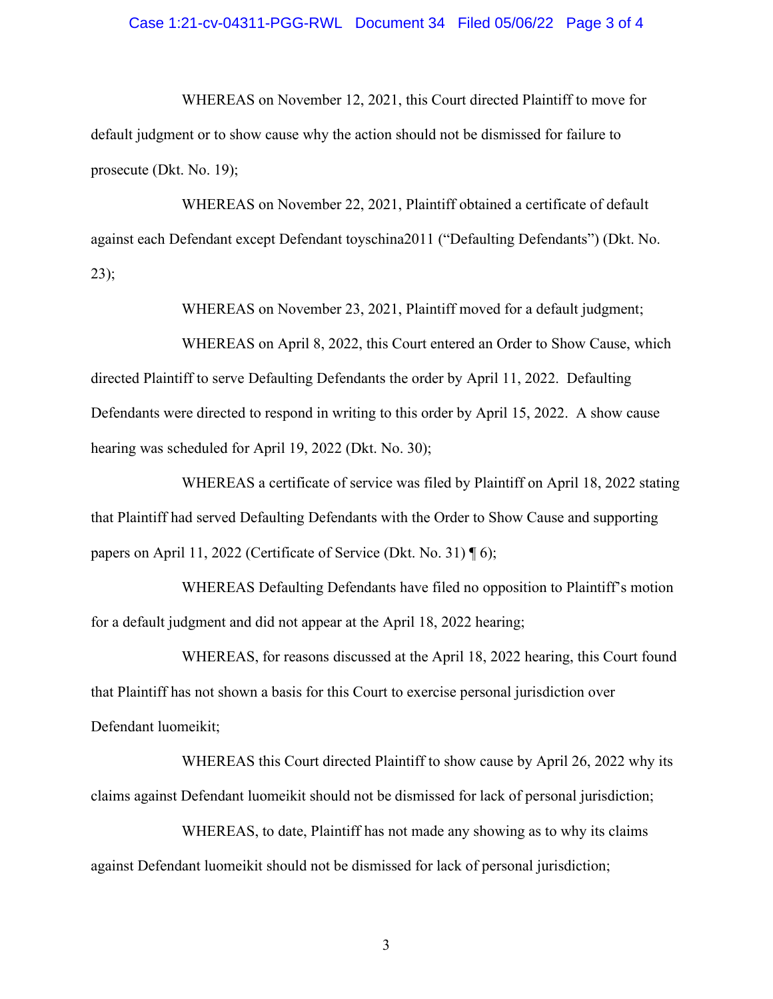### Case 1:21-cv-04311-PGG-RWL Document 34 Filed 05/06/22 Page 3 of 4

WHEREAS on November 12, 2021, this Court directed Plaintiff to move for default judgment or to show cause why the action should not be dismissed for failure to prosecute (Dkt. No. 19);

WHEREAS on November 22, 2021, Plaintiff obtained a certificate of default against each Defendant except Defendant toyschina2011 ("Defaulting Defendants") (Dkt. No. 23);

WHEREAS on November 23, 2021, Plaintiff moved for a default judgment;

WHEREAS on April 8, 2022, this Court entered an Order to Show Cause, which directed Plaintiff to serve Defaulting Defendants the order by April 11, 2022. Defaulting Defendants were directed to respond in writing to this order by April 15, 2022. A show cause hearing was scheduled for April 19, 2022 (Dkt. No. 30);

WHEREAS a certificate of service was filed by Plaintiff on April 18, 2022 stating that Plaintiff had served Defaulting Defendants with the Order to Show Cause and supporting papers on April 11, 2022 (Certificate of Service (Dkt. No. 31) ¶ 6);

WHEREAS Defaulting Defendants have filed no opposition to Plaintiff's motion for a default judgment and did not appear at the April 18, 2022 hearing;

WHEREAS, for reasons discussed at the April 18, 2022 hearing, this Court found that Plaintiff has not shown a basis for this Court to exercise personal jurisdiction over Defendant luomeikit;

WHEREAS this Court directed Plaintiff to show cause by April 26, 2022 why its claims against Defendant luomeikit should not be dismissed for lack of personal jurisdiction;

WHEREAS, to date, Plaintiff has not made any showing as to why its claims against Defendant luomeikit should not be dismissed for lack of personal jurisdiction;

3